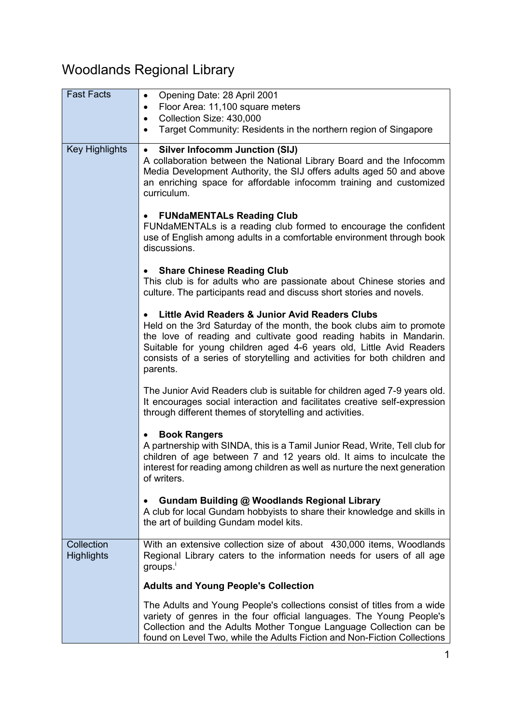## Woodlands Regional Library

| <b>Fast Facts</b>               | Opening Date: 28 April 2001<br>$\bullet$                                                                                                                                                                                                                                                                                                                                   |
|---------------------------------|----------------------------------------------------------------------------------------------------------------------------------------------------------------------------------------------------------------------------------------------------------------------------------------------------------------------------------------------------------------------------|
|                                 | Floor Area: 11,100 square meters<br>$\bullet$<br>Collection Size: 430,000<br>$\bullet$                                                                                                                                                                                                                                                                                     |
|                                 | Target Community: Residents in the northern region of Singapore<br>$\bullet$                                                                                                                                                                                                                                                                                               |
|                                 |                                                                                                                                                                                                                                                                                                                                                                            |
| <b>Key Highlights</b>           | <b>Silver Infocomm Junction (SIJ)</b><br>$\bullet$<br>A collaboration between the National Library Board and the Infocomm<br>Media Development Authority, the SIJ offers adults aged 50 and above<br>an enriching space for affordable infocomm training and customized<br>curriculum.                                                                                     |
|                                 | <b>FUNdaMENTALs Reading Club</b><br>$\bullet$<br>FUNdaMENTALs is a reading club formed to encourage the confident<br>use of English among adults in a comfortable environment through book<br>discussions.                                                                                                                                                                 |
|                                 | <b>Share Chinese Reading Club</b><br>$\bullet$<br>This club is for adults who are passionate about Chinese stories and<br>culture. The participants read and discuss short stories and novels.                                                                                                                                                                             |
|                                 | Little Avid Readers & Junior Avid Readers Clubs<br>$\bullet$<br>Held on the 3rd Saturday of the month, the book clubs aim to promote<br>the love of reading and cultivate good reading habits in Mandarin.<br>Suitable for young children aged 4-6 years old, Little Avid Readers<br>consists of a series of storytelling and activities for both children and<br>parents. |
|                                 | The Junior Avid Readers club is suitable for children aged 7-9 years old.<br>It encourages social interaction and facilitates creative self-expression<br>through different themes of storytelling and activities.                                                                                                                                                         |
|                                 | <b>Book Rangers</b><br>A partnership with SINDA, this is a Tamil Junior Read, Write, Tell club for<br>children of age between 7 and 12 years old. It aims to inculcate the<br>interest for reading among children as well as nurture the next generation<br>of writers.                                                                                                    |
|                                 | Gundam Building @ Woodlands Regional Library<br>A club for local Gundam hobbyists to share their knowledge and skills in<br>the art of building Gundam model kits.                                                                                                                                                                                                         |
| Collection<br><b>Highlights</b> | With an extensive collection size of about 430,000 items, Woodlands<br>Regional Library caters to the information needs for users of all age<br>groups. <sup>i</sup>                                                                                                                                                                                                       |
|                                 | <b>Adults and Young People's Collection</b>                                                                                                                                                                                                                                                                                                                                |
|                                 | The Adults and Young People's collections consist of titles from a wide<br>variety of genres in the four official languages. The Young People's<br>Collection and the Adults Mother Tongue Language Collection can be<br>found on Level Two, while the Adults Fiction and Non-Fiction Collections                                                                          |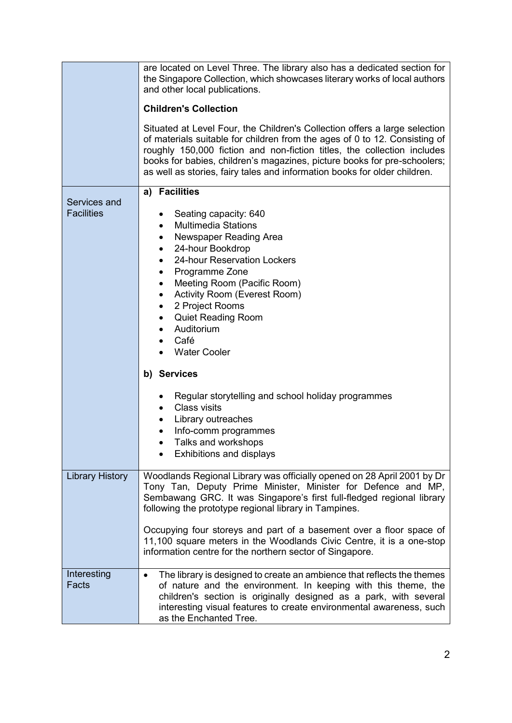|                                   | are located on Level Three. The library also has a dedicated section for<br>the Singapore Collection, which showcases literary works of local authors<br>and other local publications.<br><b>Children's Collection</b><br>Situated at Level Four, the Children's Collection offers a large selection<br>of materials suitable for children from the ages of 0 to 12. Consisting of<br>roughly 150,000 fiction and non-fiction titles, the collection includes<br>books for babies, children's magazines, picture books for pre-schoolers;<br>as well as stories, fairy tales and information books for older children. |
|-----------------------------------|------------------------------------------------------------------------------------------------------------------------------------------------------------------------------------------------------------------------------------------------------------------------------------------------------------------------------------------------------------------------------------------------------------------------------------------------------------------------------------------------------------------------------------------------------------------------------------------------------------------------|
| Services and<br><b>Facilities</b> | a) Facilities<br>Seating capacity: 640<br><b>Multimedia Stations</b><br>$\bullet$<br>Newspaper Reading Area<br>$\bullet$<br>24-hour Bookdrop<br>٠<br>24-hour Reservation Lockers<br>Programme Zone<br>Meeting Room (Pacific Room)<br>Activity Room (Everest Room)<br>$\bullet$<br>2 Project Rooms<br>٠<br><b>Quiet Reading Room</b><br>٠<br>Auditorium<br>٠<br>Café<br>$\bullet$<br><b>Water Cooler</b><br>b) Services<br>Regular storytelling and school holiday programmes<br>Class visits<br>$\bullet$<br>Library outreaches<br>٠<br>Info-comm programmes<br>٠<br>Talks and workshops<br>Exhibitions and displays   |
| <b>Library History</b>            | Woodlands Regional Library was officially opened on 28 April 2001 by Dr<br>Tony Tan, Deputy Prime Minister, Minister for Defence and MP,<br>Sembawang GRC. It was Singapore's first full-fledged regional library<br>following the prototype regional library in Tampines.<br>Occupying four storeys and part of a basement over a floor space of<br>11,100 square meters in the Woodlands Civic Centre, it is a one-stop<br>information centre for the northern sector of Singapore.                                                                                                                                  |
| Interesting<br>Facts              | The library is designed to create an ambience that reflects the themes<br>of nature and the environment. In keeping with this theme, the<br>children's section is originally designed as a park, with several<br>interesting visual features to create environmental awareness, such<br>as the Enchanted Tree.                                                                                                                                                                                                                                                                                                         |